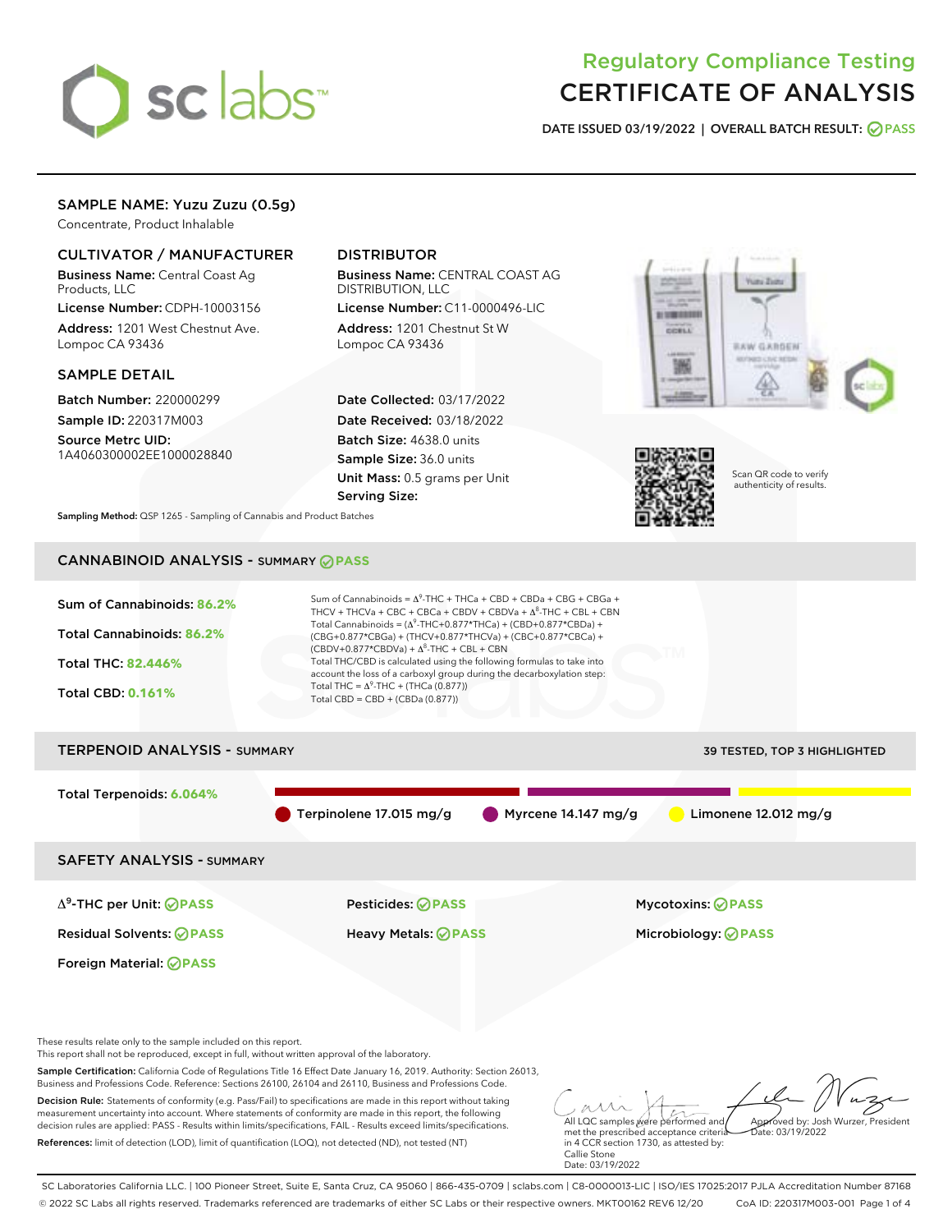

# Regulatory Compliance Testing CERTIFICATE OF ANALYSIS

DATE ISSUED 03/19/2022 | OVERALL BATCH RESULT: @ PASS

# SAMPLE NAME: Yuzu Zuzu (0.5g)

Concentrate, Product Inhalable

# CULTIVATOR / MANUFACTURER

Business Name: Central Coast Ag Products, LLC

License Number: CDPH-10003156 Address: 1201 West Chestnut Ave. Lompoc CA 93436

## SAMPLE DETAIL

Batch Number: 220000299 Sample ID: 220317M003

Source Metrc UID: 1A4060300002EE1000028840

# DISTRIBUTOR

Business Name: CENTRAL COAST AG DISTRIBUTION, LLC

License Number: C11-0000496-LIC Address: 1201 Chestnut St W Lompoc CA 93436

Date Collected: 03/17/2022 Date Received: 03/18/2022 Batch Size: 4638.0 units Sample Size: 36.0 units Unit Mass: 0.5 grams per Unit Serving Size:





Scan QR code to verify authenticity of results.

Sampling Method: QSP 1265 - Sampling of Cannabis and Product Batches

# CANNABINOID ANALYSIS - SUMMARY **PASS**



SC Laboratories California LLC. | 100 Pioneer Street, Suite E, Santa Cruz, CA 95060 | 866-435-0709 | sclabs.com | C8-0000013-LIC | ISO/IES 17025:2017 PJLA Accreditation Number 87168 © 2022 SC Labs all rights reserved. Trademarks referenced are trademarks of either SC Labs or their respective owners. MKT00162 REV6 12/20 CoA ID: 220317M003-001 Page 1 of 4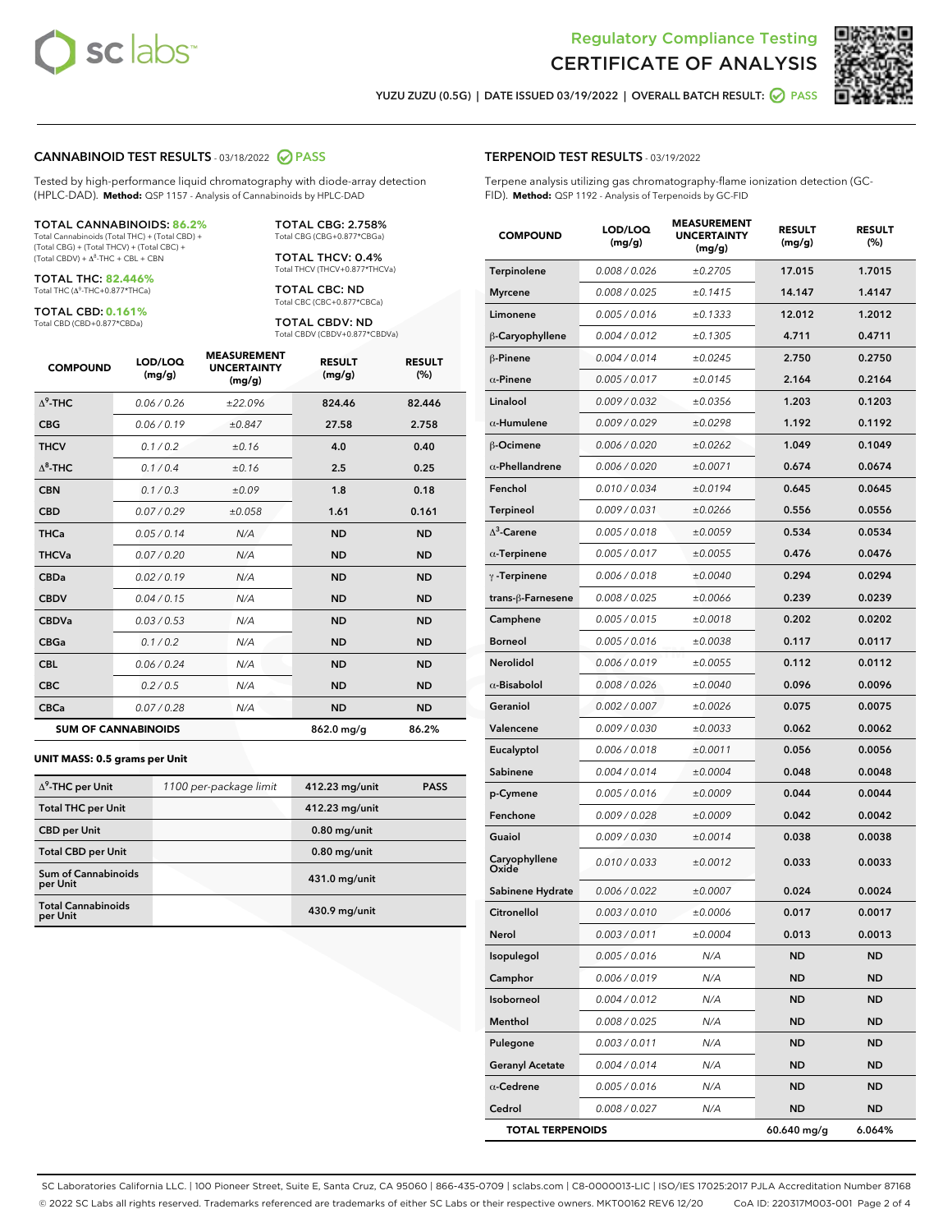



YUZU ZUZU (0.5G) | DATE ISSUED 03/19/2022 | OVERALL BATCH RESULT: O PASS

## CANNABINOID TEST RESULTS - 03/18/2022 2 PASS

Tested by high-performance liquid chromatography with diode-array detection (HPLC-DAD). **Method:** QSP 1157 - Analysis of Cannabinoids by HPLC-DAD

#### TOTAL CANNABINOIDS: **86.2%**

Total Cannabinoids (Total THC) + (Total CBD) + (Total CBG) + (Total THCV) + (Total CBC) +  $(Total$  CBDV) +  $\Delta$ <sup>8</sup>-THC + CBL + CBN

TOTAL THC: **82.446%** Total THC (Δ<sup>9</sup> -THC+0.877\*THCa)

TOTAL CBD: **0.161%**

Total CBD (CBD+0.877\*CBDa)

TOTAL CBG: 2.758% Total CBG (CBG+0.877\*CBGa)

TOTAL THCV: 0.4% Total THCV (THCV+0.877\*THCVa)

TOTAL CBC: ND Total CBC (CBC+0.877\*CBCa)

TOTAL CBDV: ND Total CBDV (CBDV+0.877\*CBDVa)

| <b>COMPOUND</b>  | LOD/LOQ<br>(mg/g)          | <b>MEASUREMENT</b><br><b>UNCERTAINTY</b><br>(mg/g) | <b>RESULT</b><br>(mg/g) | <b>RESULT</b><br>(%) |
|------------------|----------------------------|----------------------------------------------------|-------------------------|----------------------|
| $\Lambda^9$ -THC | 0.06/0.26                  | ±22.096                                            | 824.46                  | 82.446               |
| <b>CBG</b>       | 0.06/0.19                  | ±0.847                                             | 27.58                   | 2.758                |
| <b>THCV</b>      | 0.1 / 0.2                  | ±0.16                                              | 4.0                     | 0.40                 |
| $\Lambda^8$ -THC | 0.1/0.4                    | ±0.16                                              | 2.5                     | 0.25                 |
| <b>CBN</b>       | 0.1 / 0.3                  | ±0.09                                              | 1.8                     | 0.18                 |
| <b>CBD</b>       | 0.07/0.29                  | ±0.058                                             | 1.61                    | 0.161                |
| <b>THCa</b>      | 0.05/0.14                  | N/A                                                | <b>ND</b>               | <b>ND</b>            |
| <b>THCVa</b>     | 0.07 / 0.20                | N/A                                                | <b>ND</b>               | <b>ND</b>            |
| <b>CBDa</b>      | 0.02/0.19                  | N/A                                                | <b>ND</b>               | <b>ND</b>            |
| <b>CBDV</b>      | 0.04 / 0.15                | N/A                                                | <b>ND</b>               | <b>ND</b>            |
| <b>CBDVa</b>     | 0.03/0.53                  | N/A                                                | <b>ND</b>               | <b>ND</b>            |
| <b>CBGa</b>      | 0.1 / 0.2                  | N/A                                                | <b>ND</b>               | <b>ND</b>            |
| <b>CBL</b>       | 0.06 / 0.24                | N/A                                                | <b>ND</b>               | <b>ND</b>            |
| <b>CBC</b>       | 0.2 / 0.5                  | N/A                                                | <b>ND</b>               | <b>ND</b>            |
| <b>CBCa</b>      | 0.07/0.28                  | N/A                                                | <b>ND</b>               | <b>ND</b>            |
|                  | <b>SUM OF CANNABINOIDS</b> |                                                    | 862.0 mg/g              | 86.2%                |

#### **UNIT MASS: 0.5 grams per Unit**

| $\Delta^9$ -THC per Unit               | 1100 per-package limit | 412.23 mg/unit | <b>PASS</b> |
|----------------------------------------|------------------------|----------------|-------------|
| <b>Total THC per Unit</b>              |                        | 412.23 mg/unit |             |
| <b>CBD</b> per Unit                    |                        | $0.80$ mg/unit |             |
| <b>Total CBD per Unit</b>              |                        | $0.80$ mg/unit |             |
| <b>Sum of Cannabinoids</b><br>per Unit |                        | 431.0 mg/unit  |             |
| <b>Total Cannabinoids</b><br>per Unit  |                        | 430.9 mg/unit  |             |

| <b>COMPOUND</b>        | LOD/LOQ<br>(mg/g) | ASUREM<br><b>UNCERTAINTY</b><br>(mg/g) | <b>RESULT</b><br>(mg/g) | <b>RESULT</b><br>$(\%)$ |
|------------------------|-------------------|----------------------------------------|-------------------------|-------------------------|
| Terpinolene            | 0.008 / 0.026     | ±0.2705                                | 17.015                  | 1.7015                  |
| <b>Myrcene</b>         | 0.008 / 0.025     | ±0.1415                                | 14.147                  | 1.4147                  |
| Limonene               | 0.005 / 0.016     | $\pm 0.1333$                           | 12.012                  | 1.2012                  |
| β-Caryophyllene        | 0.004 / 0.012     | ±0.1305                                | 4.711                   | 0.4711                  |
| $\beta$ -Pinene        | 0.004 / 0.014     | ±0.0245                                | 2.750                   | 0.2750                  |
| $\alpha$ -Pinene       | 0.005 / 0.017     | ±0.0145                                | 2.164                   | 0.2164                  |
| Linalool               | 0.009 / 0.032     | ±0.0356                                | 1.203                   | 0.1203                  |
| $\alpha$ -Humulene     | 0.009/0.029       | ±0.0298                                | 1.192                   | 0.1192                  |
| $\beta$ -Ocimene       | 0.006 / 0.020     | ±0.0262                                | 1.049                   | 0.1049                  |
| $\alpha$ -Phellandrene | 0.006 / 0.020     | ±0.0071                                | 0.674                   | 0.0674                  |
| Fenchol                | 0.010 / 0.034     | ±0.0194                                | 0.645                   | 0.0645                  |
| <b>Terpineol</b>       | 0.009 / 0.031     | ±0.0266                                | 0.556                   | 0.0556                  |
| $\Delta^3$ -Carene     | 0.005 / 0.018     | ±0.0059                                | 0.534                   | 0.0534                  |
| $\alpha$ -Terpinene    | 0.005 / 0.017     | ±0.0055                                | 0.476                   | 0.0476                  |
| $\gamma$ -Terpinene    | 0.006 / 0.018     | ±0.0040                                | 0.294                   | 0.0294                  |
| trans-ß-Farnesene      | 0.008 / 0.025     | ±0.0066                                | 0.239                   | 0.0239                  |
| Camphene               | 0.005 / 0.015     | ±0.0018                                | 0.202                   | 0.0202                  |
| <b>Borneol</b>         | 0.005 / 0.016     | ±0.0038                                | 0.117                   | 0.0117                  |
| Nerolidol              | 0.006 / 0.019     | ±0.0055                                | 0.112                   | 0.0112                  |
| $\alpha$ -Bisabolol    | 0.008 / 0.026     | ±0.0040                                | 0.096                   | 0.0096                  |
| Geraniol               | 0.002 / 0.007     | ±0.0026                                | 0.075                   | 0.0075                  |
| Valencene              | 0.009 / 0.030     | ±0.0033                                | 0.062                   | 0.0062                  |
| Eucalyptol             | 0.006 / 0.018     | ±0.0011                                | 0.056                   | 0.0056                  |
| Sabinene               | 0.004 / 0.014     | ±0.0004                                | 0.048                   | 0.0048                  |
| p-Cymene               | 0.005 / 0.016     | ±0.0009                                | 0.044                   | 0.0044                  |
| Fenchone               | 0.009 / 0.028     | ±0.0009                                | 0.042                   | 0.0042                  |
| Guaiol                 | 0.009 / 0.030     | ±0.0014                                | 0.038                   | 0.0038                  |
| Caryophyllene<br>Oxide | 0.010 / 0.033     | ±0.0012                                | 0.033                   | 0.0033                  |
| Sabinene Hydrate       | 0.006 / 0.022     | ±0.0007                                | 0.024                   | 0.0024                  |
| Citronellol            | 0.003 / 0.010     | ±0.0006                                | 0.017                   | 0.0017                  |
| Nerol                  | 0.003 / 0.011     | ±0.0004                                | 0.013                   | 0.0013                  |
| Isopulegol             | 0.005 / 0.016     | N/A                                    | ND                      | <b>ND</b>               |
| Camphor                | 0.006 / 0.019     | N/A                                    | <b>ND</b>               | <b>ND</b>               |
| Isoborneol             | 0.004 / 0.012     | N/A                                    | ND                      | ND                      |
| Menthol                | 0.008 / 0.025     | N/A                                    | ND                      | <b>ND</b>               |
| Pulegone               | 0.003 / 0.011     | N/A                                    | <b>ND</b>               | <b>ND</b>               |
| <b>Geranyl Acetate</b> | 0.004 / 0.014     | N/A                                    | ND                      | ND                      |
| $\alpha$ -Cedrene      | 0.005 / 0.016     | N/A                                    | ND                      | <b>ND</b>               |
| Cedrol                 | 0.008 / 0.027     | N/A                                    | <b>ND</b>               | <b>ND</b>               |

TOTAL TERPENOIDS 60.640 mg/g 6.064%

SC Laboratories California LLC. | 100 Pioneer Street, Suite E, Santa Cruz, CA 95060 | 866-435-0709 | sclabs.com | C8-0000013-LIC | ISO/IES 17025:2017 PJLA Accreditation Number 87168 © 2022 SC Labs all rights reserved. Trademarks referenced are trademarks of either SC Labs or their respective owners. MKT00162 REV6 12/20 CoA ID: 220317M003-001 Page 2 of 4

# TERPENOID TEST RESULTS - 03/19/2022

Terpene analysis utilizing gas chromatography-flame ionization detection (GC-FID). **Method:** QSP 1192 - Analysis of Terpenoids by GC-FID

MEASUREMENT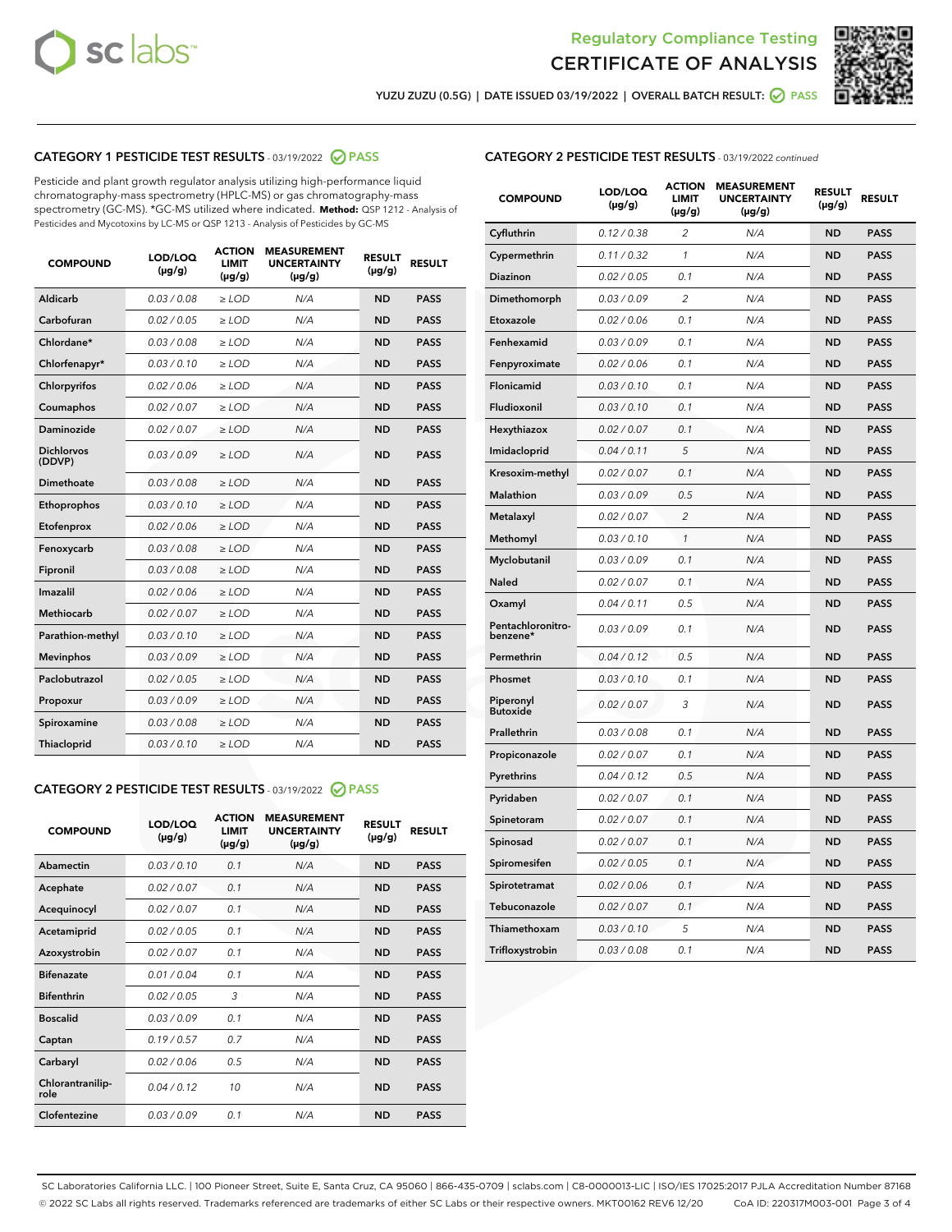



YUZU ZUZU (0.5G) | DATE ISSUED 03/19/2022 | OVERALL BATCH RESULT: ● PASS

# CATEGORY 1 PESTICIDE TEST RESULTS - 03/19/2022 2 PASS

Pesticide and plant growth regulator analysis utilizing high-performance liquid chromatography-mass spectrometry (HPLC-MS) or gas chromatography-mass spectrometry (GC-MS). \*GC-MS utilized where indicated. **Method:** QSP 1212 - Analysis of Pesticides and Mycotoxins by LC-MS or QSP 1213 - Analysis of Pesticides by GC-MS

| <b>COMPOUND</b>             | LOD/LOQ<br>$(\mu g/g)$ | <b>ACTION</b><br>LIMIT<br>$(\mu g/g)$ | <b>MEASUREMENT</b><br><b>UNCERTAINTY</b><br>$(\mu g/g)$ | <b>RESULT</b><br>$(\mu g/g)$ | <b>RESULT</b> |
|-----------------------------|------------------------|---------------------------------------|---------------------------------------------------------|------------------------------|---------------|
| <b>Aldicarb</b>             | 0.03 / 0.08            | $\geq$ LOD                            | N/A                                                     | <b>ND</b>                    | <b>PASS</b>   |
| Carbofuran                  | 0.02 / 0.05            | $\ge$ LOD                             | N/A                                                     | <b>ND</b>                    | <b>PASS</b>   |
| Chlordane*                  | 0.03/0.08              | $>$ LOD                               | N/A                                                     | <b>ND</b>                    | <b>PASS</b>   |
| Chlorfenapyr*               | 0.03/0.10              | $>$ LOD                               | N/A                                                     | <b>ND</b>                    | <b>PASS</b>   |
| Chlorpyrifos                | 0.02 / 0.06            | $>$ LOD                               | N/A                                                     | <b>ND</b>                    | <b>PASS</b>   |
| Coumaphos                   | 0.02 / 0.07            | $\geq$ LOD                            | N/A                                                     | <b>ND</b>                    | <b>PASS</b>   |
| <b>Daminozide</b>           | 0.02 / 0.07            | $\ge$ LOD                             | N/A                                                     | <b>ND</b>                    | <b>PASS</b>   |
| <b>Dichlorvos</b><br>(DDVP) | 0.03/0.09              | $\geq$ LOD                            | N/A                                                     | <b>ND</b>                    | <b>PASS</b>   |
| Dimethoate                  | 0.03 / 0.08            | $>$ LOD                               | N/A                                                     | <b>ND</b>                    | <b>PASS</b>   |
| Ethoprophos                 | 0.03/0.10              | $\geq$ LOD                            | N/A                                                     | <b>ND</b>                    | <b>PASS</b>   |
| Etofenprox                  | 0.02 / 0.06            | > LOD                                 | N/A                                                     | <b>ND</b>                    | <b>PASS</b>   |
| Fenoxycarb                  | 0.03 / 0.08            | $\geq$ LOD                            | N/A                                                     | <b>ND</b>                    | <b>PASS</b>   |
| Fipronil                    | 0.03 / 0.08            | $\ge$ LOD                             | N/A                                                     | <b>ND</b>                    | <b>PASS</b>   |
| Imazalil                    | 0.02 / 0.06            | $\ge$ LOD                             | N/A                                                     | <b>ND</b>                    | <b>PASS</b>   |
| <b>Methiocarb</b>           | 0.02 / 0.07            | $\ge$ LOD                             | N/A                                                     | <b>ND</b>                    | <b>PASS</b>   |
| Parathion-methyl            | 0.03/0.10              | > LOD                                 | N/A                                                     | <b>ND</b>                    | <b>PASS</b>   |
| <b>Mevinphos</b>            | 0.03/0.09              | $\ge$ LOD                             | N/A                                                     | <b>ND</b>                    | <b>PASS</b>   |
| Paclobutrazol               | 0.02 / 0.05            | $\ge$ LOD                             | N/A                                                     | <b>ND</b>                    | <b>PASS</b>   |
| Propoxur                    | 0.03 / 0.09            | $\geq$ LOD                            | N/A                                                     | <b>ND</b>                    | <b>PASS</b>   |
| Spiroxamine                 | 0.03 / 0.08            | $\ge$ LOD                             | N/A                                                     | <b>ND</b>                    | <b>PASS</b>   |
| Thiacloprid                 | 0.03/0.10              | $>$ LOD                               | N/A                                                     | <b>ND</b>                    | <b>PASS</b>   |

# CATEGORY 2 PESTICIDE TEST RESULTS - 03/19/2022 @ PASS

| <b>COMPOUND</b>          | LOD/LOO<br>$(\mu g/g)$ | <b>ACTION</b><br>LIMIT<br>$(\mu g/g)$ | <b>MEASUREMENT</b><br><b>UNCERTAINTY</b><br>$(\mu g/g)$ | <b>RESULT</b><br>$(\mu g/g)$ | <b>RESULT</b> |
|--------------------------|------------------------|---------------------------------------|---------------------------------------------------------|------------------------------|---------------|
| Abamectin                | 0.03/0.10              | 0.1                                   | N/A                                                     | <b>ND</b>                    | <b>PASS</b>   |
| Acephate                 | 0.02/0.07              | 0.1                                   | N/A                                                     | <b>ND</b>                    | <b>PASS</b>   |
| Acequinocyl              | 0.02/0.07              | 0.1                                   | N/A                                                     | <b>ND</b>                    | <b>PASS</b>   |
| Acetamiprid              | 0.02/0.05              | 0.1                                   | N/A                                                     | <b>ND</b>                    | <b>PASS</b>   |
| Azoxystrobin             | 0.02/0.07              | 0.1                                   | N/A                                                     | <b>ND</b>                    | <b>PASS</b>   |
| <b>Bifenazate</b>        | 0.01/0.04              | 0.1                                   | N/A                                                     | <b>ND</b>                    | <b>PASS</b>   |
| <b>Bifenthrin</b>        | 0.02 / 0.05            | 3                                     | N/A                                                     | <b>ND</b>                    | <b>PASS</b>   |
| <b>Boscalid</b>          | 0.03/0.09              | 0.1                                   | N/A                                                     | <b>ND</b>                    | <b>PASS</b>   |
| Captan                   | 0.19/0.57              | 0.7                                   | N/A                                                     | <b>ND</b>                    | <b>PASS</b>   |
| Carbaryl                 | 0.02/0.06              | 0.5                                   | N/A                                                     | <b>ND</b>                    | <b>PASS</b>   |
| Chlorantranilip-<br>role | 0.04/0.12              | 10                                    | N/A                                                     | <b>ND</b>                    | <b>PASS</b>   |
| Clofentezine             | 0.03/0.09              | 0.1                                   | N/A                                                     | <b>ND</b>                    | <b>PASS</b>   |

# CATEGORY 2 PESTICIDE TEST RESULTS - 03/19/2022 continued

| <b>COMPOUND</b>               | LOD/LOQ<br>(µg/g) | <b>ACTION</b><br><b>LIMIT</b><br>(µg/g) | <b>MEASUREMENT</b><br><b>UNCERTAINTY</b><br>(µg/g) | <b>RESULT</b><br>(µg/g) | <b>RESULT</b> |
|-------------------------------|-------------------|-----------------------------------------|----------------------------------------------------|-------------------------|---------------|
| Cyfluthrin                    | 0.12 / 0.38       | $\overline{c}$                          | N/A                                                | <b>ND</b>               | <b>PASS</b>   |
| Cypermethrin                  | 0.11 / 0.32       | $\mathcal{I}$                           | N/A                                                | <b>ND</b>               | PASS          |
| <b>Diazinon</b>               | 0.02 / 0.05       | 0.1                                     | N/A                                                | <b>ND</b>               | <b>PASS</b>   |
| Dimethomorph                  | 0.03 / 0.09       | 2                                       | N/A                                                | <b>ND</b>               | <b>PASS</b>   |
| Etoxazole                     | 0.02 / 0.06       | 0.1                                     | N/A                                                | ND                      | <b>PASS</b>   |
| Fenhexamid                    | 0.03 / 0.09       | 0.1                                     | N/A                                                | <b>ND</b>               | <b>PASS</b>   |
| Fenpyroximate                 | 0.02 / 0.06       | 0.1                                     | N/A                                                | <b>ND</b>               | <b>PASS</b>   |
| Flonicamid                    | 0.03 / 0.10       | 0.1                                     | N/A                                                | <b>ND</b>               | <b>PASS</b>   |
| Fludioxonil                   | 0.03 / 0.10       | 0.1                                     | N/A                                                | ND                      | <b>PASS</b>   |
| Hexythiazox                   | 0.02 / 0.07       | 0.1                                     | N/A                                                | <b>ND</b>               | <b>PASS</b>   |
| Imidacloprid                  | 0.04 / 0.11       | 5                                       | N/A                                                | <b>ND</b>               | <b>PASS</b>   |
| Kresoxim-methyl               | 0.02 / 0.07       | 0.1                                     | N/A                                                | <b>ND</b>               | <b>PASS</b>   |
| <b>Malathion</b>              | 0.03 / 0.09       | 0.5                                     | N/A                                                | <b>ND</b>               | <b>PASS</b>   |
| Metalaxyl                     | 0.02 / 0.07       | $\overline{c}$                          | N/A                                                | <b>ND</b>               | <b>PASS</b>   |
| Methomyl                      | 0.03 / 0.10       | $\mathcal{I}$                           | N/A                                                | <b>ND</b>               | <b>PASS</b>   |
| Myclobutanil                  | 0.03/0.09         | 0.1                                     | N/A                                                | <b>ND</b>               | <b>PASS</b>   |
| Naled                         | 0.02 / 0.07       | 0.1                                     | N/A                                                | <b>ND</b>               | <b>PASS</b>   |
| Oxamyl                        | 0.04 / 0.11       | 0.5                                     | N/A                                                | <b>ND</b>               | <b>PASS</b>   |
| Pentachloronitro-<br>benzene* | 0.03 / 0.09       | 0.1                                     | N/A                                                | <b>ND</b>               | <b>PASS</b>   |
| Permethrin                    | 0.04 / 0.12       | 0.5                                     | N/A                                                | <b>ND</b>               | <b>PASS</b>   |
| Phosmet                       | 0.03 / 0.10       | 0.1                                     | N/A                                                | <b>ND</b>               | <b>PASS</b>   |
| Piperonyl<br><b>Butoxide</b>  | 0.02 / 0.07       | 3                                       | N/A                                                | <b>ND</b>               | <b>PASS</b>   |
| Prallethrin                   | 0.03 / 0.08       | 0.1                                     | N/A                                                | <b>ND</b>               | <b>PASS</b>   |
| Propiconazole                 | 0.02 / 0.07       | 0.1                                     | N/A                                                | <b>ND</b>               | <b>PASS</b>   |
| Pyrethrins                    | 0.04 / 0.12       | 0.5                                     | N/A                                                | <b>ND</b>               | <b>PASS</b>   |
| Pyridaben                     | 0.02 / 0.07       | 0.1                                     | N/A                                                | <b>ND</b>               | <b>PASS</b>   |
| Spinetoram                    | 0.02 / 0.07       | 0.1                                     | N/A                                                | <b>ND</b>               | <b>PASS</b>   |
| Spinosad                      | 0.02 / 0.07       | 0.1                                     | N/A                                                | <b>ND</b>               | <b>PASS</b>   |
| Spiromesifen                  | 0.02 / 0.05       | 0.1                                     | N/A                                                | <b>ND</b>               | <b>PASS</b>   |
| Spirotetramat                 | 0.02 / 0.06       | 0.1                                     | N/A                                                | <b>ND</b>               | <b>PASS</b>   |
| Tebuconazole                  | 0.02 / 0.07       | 0.1                                     | N/A                                                | <b>ND</b>               | <b>PASS</b>   |
| Thiamethoxam                  | 0.03/0.10         | 5                                       | N/A                                                | ND                      | <b>PASS</b>   |
| Trifloxystrobin               | 0.03 / 0.08       | 0.1                                     | N/A                                                | <b>ND</b>               | <b>PASS</b>   |

SC Laboratories California LLC. | 100 Pioneer Street, Suite E, Santa Cruz, CA 95060 | 866-435-0709 | sclabs.com | C8-0000013-LIC | ISO/IES 17025:2017 PJLA Accreditation Number 87168 © 2022 SC Labs all rights reserved. Trademarks referenced are trademarks of either SC Labs or their respective owners. MKT00162 REV6 12/20 CoA ID: 220317M003-001 Page 3 of 4